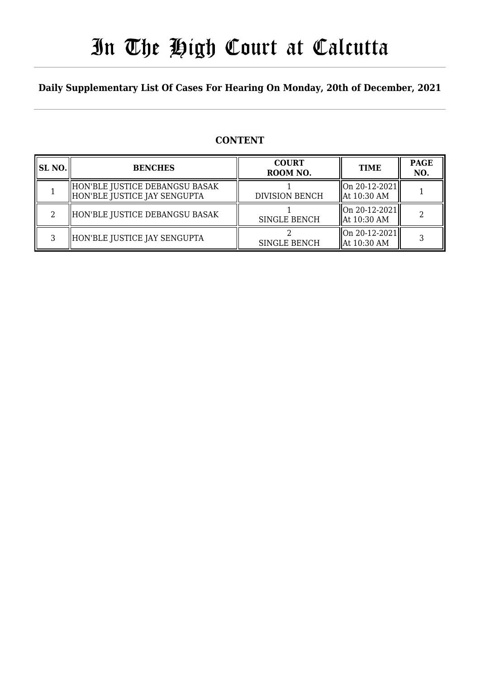# In The High Court at Calcutta

## **Daily Supplementary List Of Cases For Hearing On Monday, 20th of December, 2021**

## **CONTENT**

| SL NO. | <b>BENCHES</b>                                                 | <b>COURT</b><br>ROOM NO. | <b>TIME</b>                              | <b>PAGE</b><br>NO. |
|--------|----------------------------------------------------------------|--------------------------|------------------------------------------|--------------------|
|        | HON'BLE JUSTICE DEBANGSU BASAK<br>HON'BLE JUSTICE JAY SENGUPTA | <b>DIVISION BENCH</b>    | On 20-12-2021  <br>  At 10:30 AM         |                    |
| റ      | HON'BLE JUSTICE DEBANGSU BASAK                                 | <b>SINGLE BENCH</b>      | On 20-12-2021  <br>  At 10:30 AM         |                    |
| ς      | HON'BLE JUSTICE JAY SENGUPTA                                   | <b>SINGLE BENCH</b>      | $\ $ On 20-12-2021 $\ $<br>  At 10:30 AM |                    |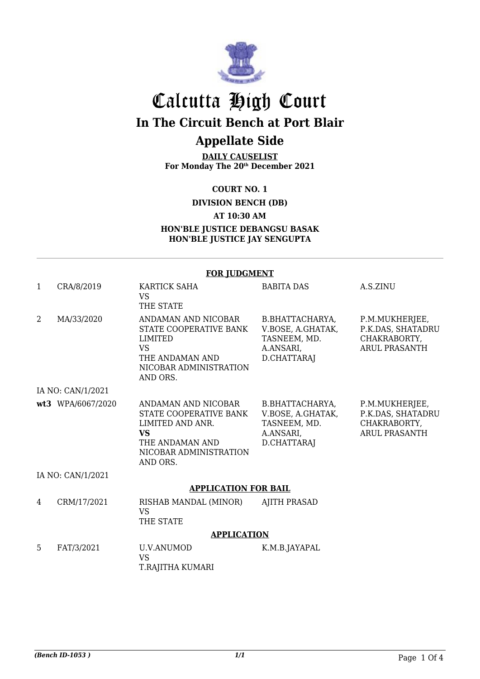

## Calcutta High Court **In The Circuit Bench at Port Blair Appellate Side**

**DAILY CAUSELIST For Monday The 20th December 2021**

**COURT NO. 1**

**DIVISION BENCH (DB)**

**AT 10:30 AM**

**HON'BLE JUSTICE DEBANGSU BASAK HON'BLE JUSTICE JAY SENGUPTA**

#### **FOR JUDGMENT**

| $\mathbf{1}$      | CRA/8/2019                  | <b>KARTICK SAHA</b><br><b>VS</b><br>THE STATE                                                                                           | <b>BABITA DAS</b>                                                                | A.S.ZINU                                                                    |  |
|-------------------|-----------------------------|-----------------------------------------------------------------------------------------------------------------------------------------|----------------------------------------------------------------------------------|-----------------------------------------------------------------------------|--|
| 2                 | MA/33/2020                  | ANDAMAN AND NICOBAR<br>STATE COOPERATIVE BANK<br>LIMITED<br><b>VS</b><br>THE ANDAMAN AND<br>NICOBAR ADMINISTRATION<br>AND ORS.          | B.BHATTACHARYA,<br>V.BOSE, A.GHATAK,<br>TASNEEM, MD.<br>A.ANSARI,<br>D.CHATTARAJ | P.M.MUKHERJEE,<br>P.K.DAS, SHATADRU<br>CHAKRABORTY,<br><b>ARUL PRASANTH</b> |  |
|                   | IA NO: CAN/1/2021           |                                                                                                                                         |                                                                                  |                                                                             |  |
|                   | wt3 WPA/6067/2020           | ANDAMAN AND NICOBAR<br>STATE COOPERATIVE BANK<br>LIMITED AND ANR.<br><b>VS</b><br>THE ANDAMAN AND<br>NICOBAR ADMINISTRATION<br>AND ORS. | B.BHATTACHARYA,<br>V.BOSE, A.GHATAK,<br>TASNEEM, MD.<br>A.ANSARI,<br>D.CHATTARAJ | P.M.MUKHERJEE,<br>P.K.DAS, SHATADRU<br>CHAKRABORTY,<br><b>ARUL PRASANTH</b> |  |
| IA NO: CAN/1/2021 |                             |                                                                                                                                         |                                                                                  |                                                                             |  |
|                   | <b>APPLICATION FOR BAIL</b> |                                                                                                                                         |                                                                                  |                                                                             |  |
| 4                 | CRM/17/2021                 | RISHAB MANDAL (MINOR)<br><b>VS</b><br>THE STATE                                                                                         | <b>AJITH PRASAD</b>                                                              |                                                                             |  |
|                   | <b>APPLICATION</b>          |                                                                                                                                         |                                                                                  |                                                                             |  |
| 5                 | FAT/3/2021                  | U.V.ANUMOD<br><b>VS</b><br>T.RAJITHA KUMARI                                                                                             | K.M.B.JAYAPAL                                                                    |                                                                             |  |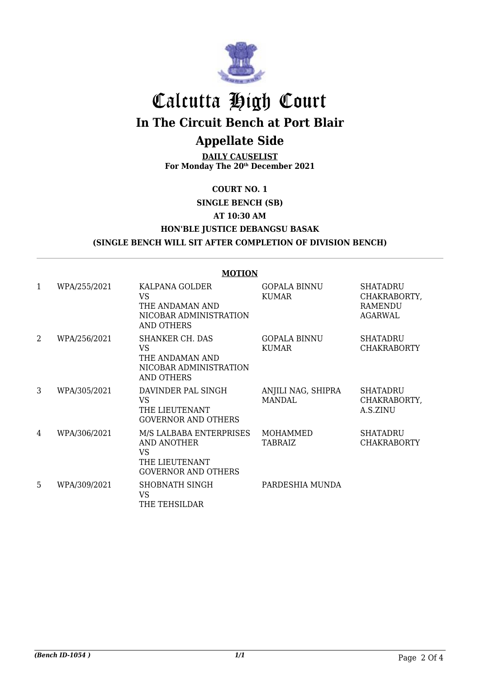

## Calcutta High Court **In The Circuit Bench at Port Blair**

## **Appellate Side**

**DAILY CAUSELIST For Monday The 20th December 2021**

**COURT NO. 1**

**SINGLE BENCH (SB)**

**AT 10:30 AM**

#### **HON'BLE JUSTICE DEBANGSU BASAK (SINGLE BENCH WILL SIT AFTER COMPLETION OF DIVISION BENCH)**

## **MOTION**

| 1 | WPA/255/2021 | KALPANA GOLDER<br>VS.<br>THE ANDAMAN AND<br>NICOBAR ADMINISTRATION<br><b>AND OTHERS</b>      | <b>GOPALA BINNU</b><br>KUMAR        | <b>SHATADRU</b><br>CHAKRABORTY,<br>RAMENDU<br>AGARWAL |
|---|--------------|----------------------------------------------------------------------------------------------|-------------------------------------|-------------------------------------------------------|
| 2 | WPA/256/2021 | SHANKER CH. DAS<br>VS<br>THE ANDAMAN AND<br>NICOBAR ADMINISTRATION<br>AND OTHERS             | <b>GOPALA BINNU</b><br>KUMAR        | <b>SHATADRU</b><br><b>CHAKRABORTY</b>                 |
| 3 | WPA/305/2021 | DAVINDER PAL SINGH<br>VS.<br>THE LIEUTENANT<br><b>GOVERNOR AND OTHERS</b>                    | ANJILI NAG, SHIPRA<br><b>MANDAL</b> | <b>SHATADRU</b><br>CHAKRABORTY,<br>A.S.ZINU           |
| 4 | WPA/306/2021 | M/S LALBABA ENTERPRISES<br>AND ANOTHER<br>VS<br>THE LIEUTENANT<br><b>GOVERNOR AND OTHERS</b> | MOHAMMED<br>TABRAIZ                 | <b>SHATADRU</b><br><b>CHAKRABORTY</b>                 |
| 5 | WPA/309/2021 | SHOBNATH SINGH<br><b>VS</b><br>THE TEHSILDAR                                                 | PARDESHIA MUNDA                     |                                                       |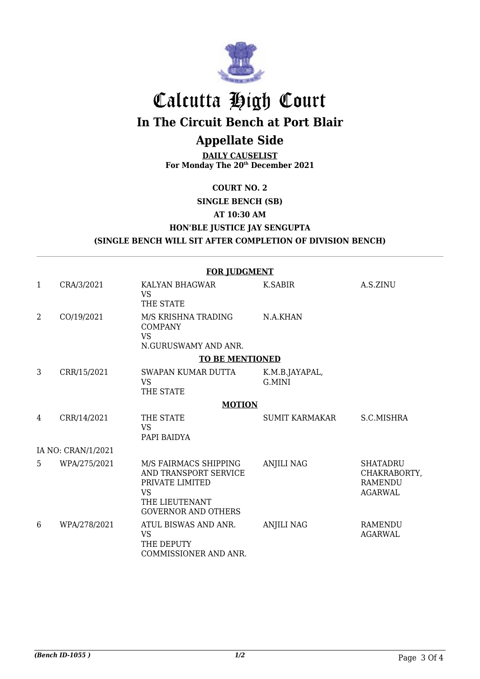

# Calcutta High Court

**In The Circuit Bench at Port Blair**

## **Appellate Side**

**DAILY CAUSELIST For Monday The 20th December 2021**

#### **COURT NO. 2**

**SINGLE BENCH (SB)**

**AT 10:30 AM**

**HON'BLE JUSTICE JAY SENGUPTA**

**(SINGLE BENCH WILL SIT AFTER COMPLETION OF DIVISION BENCH)**

|              |                    | <b>FOR JUDGMENT</b>                                                                                                            |                          |                                                                     |
|--------------|--------------------|--------------------------------------------------------------------------------------------------------------------------------|--------------------------|---------------------------------------------------------------------|
| $\mathbf{1}$ | CRA/3/2021         | KALYAN BHAGWAR<br><b>VS</b><br>THE STATE                                                                                       | K.SABIR                  | A.S.ZINU                                                            |
| 2            | CO/19/2021         | M/S KRISHNA TRADING<br><b>COMPANY</b><br><b>VS</b><br>N.GURUSWAMY AND ANR.                                                     | N.A.KHAN                 |                                                                     |
|              |                    | <b>TO BE MENTIONED</b>                                                                                                         |                          |                                                                     |
| 3            | CRR/15/2021        | SWAPAN KUMAR DUTTA<br><b>VS</b><br>THE STATE                                                                                   | K.M.B.JAYAPAL,<br>G.MINI |                                                                     |
|              |                    | <b>MOTION</b>                                                                                                                  |                          |                                                                     |
| 4            | CRR/14/2021        | THE STATE<br><b>VS</b><br>PAPI BAIDYA                                                                                          | <b>SUMIT KARMAKAR</b>    | S.C.MISHRA                                                          |
|              | IA NO: CRAN/1/2021 |                                                                                                                                |                          |                                                                     |
| 5            | WPA/275/2021       | M/S FAIRMACS SHIPPING<br>AND TRANSPORT SERVICE<br>PRIVATE LIMITED<br><b>VS</b><br>THE LIEUTENANT<br><b>GOVERNOR AND OTHERS</b> | <b>ANJILI NAG</b>        | <b>SHATADRU</b><br>CHAKRABORTY,<br><b>RAMENDU</b><br><b>AGARWAL</b> |
| 6            | WPA/278/2021       | ATUL BISWAS AND ANR.<br><b>VS</b><br>THE DEPUTY<br>COMMISSIONER AND ANR.                                                       | <b>ANJILI NAG</b>        | RAMENDU<br><b>AGARWAL</b>                                           |